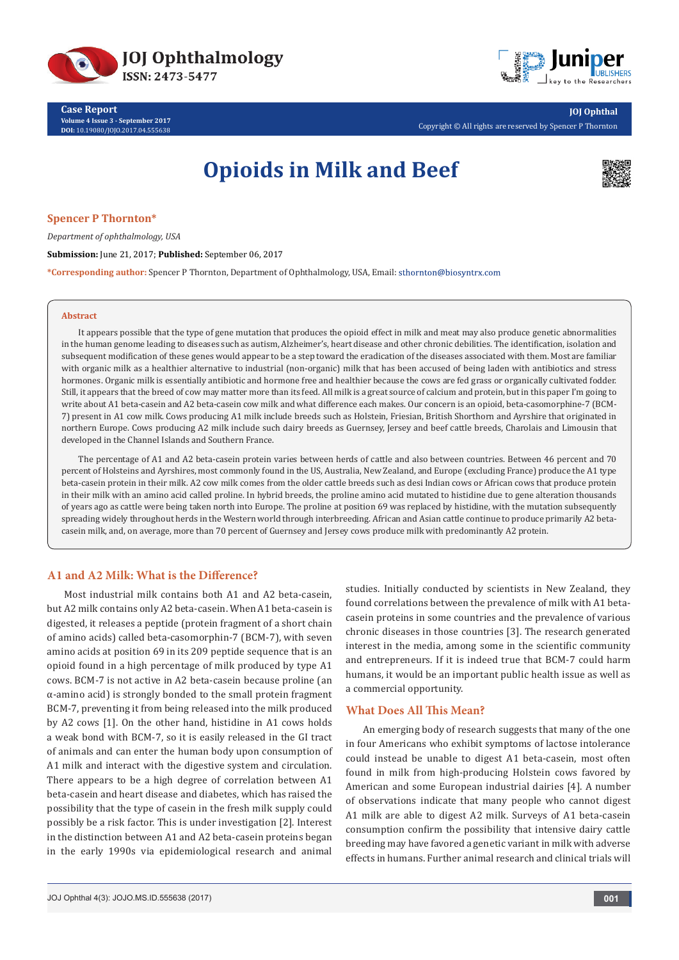

**Case Report Volume 4 Issue 3 - September 2017 DOI:** [10.19080/JOJO.2017.04.555638](http://dx.doi.org/10.19080/JOJO.2017.04.555638)



Copyright © All rights are reserved by Spencer P Thornton

# **Opioids in Milk and Beef**



## **Spencer P Thornton\***

*Department of ophthalmology, USA*

## **Submission:** June 21, 2017; **Published:** September 06, 2017

**\*Corresponding author:** Spencer P Thornton, Department of Ophthalmology, USA, Email:

#### **Abstract**

It appears possible that the type of gene mutation that produces the opioid effect in milk and meat may also produce genetic abnormalities in the human genome leading to diseases such as autism, Alzheimer's, heart disease and other chronic debilities. The identification, isolation and subsequent modification of these genes would appear to be a step toward the eradication of the diseases associated with them. Most are familiar with organic milk as a healthier alternative to industrial (non-organic) milk that has been accused of being laden with antibiotics and stress hormones. Organic milk is essentially antibiotic and hormone free and healthier because the cows are fed grass or organically cultivated fodder. Still, it appears that the breed of cow may matter more than its feed. All milk is a great source of calcium and protein, but in this paper I'm going to write about A1 beta-casein and A2 beta-casein cow milk and what difference each makes. Our concern is an opioid, beta-casomorphine-7 (BCM-7) present in A1 cow milk. Cows producing A1 milk include breeds such as Holstein, Friesian, British Shorthorn and Ayrshire that originated in northern Europe. Cows producing A2 milk include such dairy breeds as Guernsey, Jersey and beef cattle breeds, Charolais and Limousin that developed in the Channel Islands and Southern France.

The percentage of A1 and A2 beta-casein protein varies between herds of cattle and also between countries. Between 46 percent and 70 percent of Holsteins and Ayrshires, most commonly found in the US, Australia, New Zealand, and Europe (excluding France) produce the A1 type beta-casein protein in their milk. A2 cow milk comes from the older cattle breeds such as desi Indian cows or African cows that produce protein in their milk with an amino acid called proline. In hybrid breeds, the proline amino acid mutated to histidine due to gene alteration thousands of years ago as cattle were being taken north into Europe. The proline at position 69 was replaced by histidine, with the mutation subsequently spreading widely throughout herds in the Western world through interbreeding. African and Asian cattle continue to produce primarily A2 betacasein milk, and, on average, more than 70 percent of Guernsey and Jersey cows produce milk with predominantly A2 protein.

#### **A1 and A2 Milk: What is the Difference?**

Most industrial milk contains both A1 and A2 beta-casein, but A2 milk contains only A2 beta-casein. When A1 beta-casein is digested, it releases a peptide (protein fragment of a short chain of amino acids) called beta-casomorphin-7 (BCM-7), with seven amino acids at position 69 in its 209 peptide sequence that is an opioid found in a high percentage of milk produced by type A1 cows. BCM-7 is not active in A2 beta-casein because proline (an α-amino acid) is strongly bonded to the small protein fragment BCM-7, preventing it from being released into the milk produced by A2 cows [1]. On the other hand, histidine in A1 cows holds a weak bond with BCM-7, so it is easily released in the GI tract of animals and can enter the human body upon consumption of A1 milk and interact with the digestive system and circulation. There appears to be a high degree of correlation between A1 beta-casein and heart disease and diabetes, which has raised the possibility that the type of casein in the fresh milk supply could possibly be a risk factor. This is under investigation [2]. Interest in the distinction between A1 and A2 beta-casein proteins began in the early 1990s via epidemiological research and animal

studies. Initially conducted by scientists in New Zealand, they found correlations between the prevalence of milk with A1 betacasein proteins in some countries and the prevalence of various chronic diseases in those countries [3]. The research generated interest in the media, among some in the scientific community and entrepreneurs. If it is indeed true that BCM-7 could harm humans, it would be an important public health issue as well as a commercial opportunity.

#### **What Does All This Mean?**

An emerging body of research suggests that many of the one in four Americans who exhibit symptoms of lactose intolerance could instead be unable to digest A1 beta-casein, most often found in milk from high-producing Holstein cows favored by American and some European industrial dairies [4]. A number of observations indicate that many people who cannot digest A1 milk are able to digest A2 milk. Surveys of A1 beta-casein consumption confirm the possibility that intensive dairy cattle breeding may have favored a genetic variant in milk with adverse effects in humans. Further animal research and clinical trials will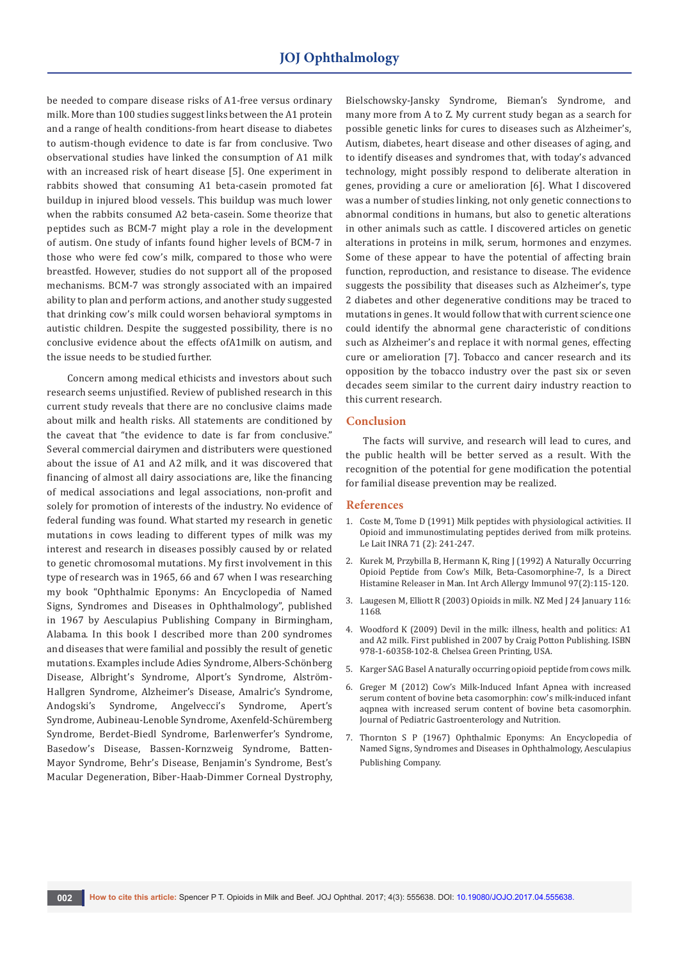be needed to compare disease risks of A1-free versus ordinary milk. More than 100 studies suggest links between the A1 protein and a range of health conditions-from heart disease to diabetes to autism-though evidence to date is far from conclusive. Two observational studies have linked the consumption of A1 milk with an increased risk of heart disease [5]. One experiment in rabbits showed that consuming A1 beta-casein promoted fat buildup in injured blood vessels. This buildup was much lower when the rabbits consumed A2 beta-casein. Some theorize that peptides such as BCM-7 might play a role in the development of autism. One study of infants found higher levels of BCM-7 in those who were fed cow's milk, compared to those who were breastfed. However, studies do not support all of the proposed mechanisms. BCM-7 was strongly associated with an impaired ability to plan and perform actions, and another study suggested that drinking cow's milk could worsen behavioral symptoms in autistic children. Despite the suggested possibility, there is no conclusive evidence about the effects ofA1milk on autism, and the issue needs to be studied further.

 Concern among medical ethicists and investors about such research seems unjustified. Review of published research in this current study reveals that there are no conclusive claims made about milk and health risks. All statements are conditioned by the caveat that "the evidence to date is far from conclusive." Several commercial dairymen and distributers were questioned about the issue of A1 and A2 milk, and it was discovered that financing of almost all dairy associations are, like the financing of medical associations and legal associations, non-profit and solely for promotion of interests of the industry. No evidence of federal funding was found. What started my research in genetic mutations in cows leading to different types of milk was my interest and research in diseases possibly caused by or related to genetic chromosomal mutations. My first involvement in this type of research was in 1965, 66 and 67 when I was researching my book "Ophthalmic Eponyms: An Encyclopedia of Named Signs, Syndromes and Diseases in Ophthalmology", published in 1967 by Aesculapius Publishing Company in Birmingham, Alabama. In this book I described more than 200 syndromes and diseases that were familial and possibly the result of genetic mutations. Examples include Adies Syndrome, Albers-Schönberg Disease, Albright's Syndrome, Alport's Syndrome, Alström-Hallgren Syndrome, Alzheimer's Disease, Amalric's Syndrome, Andogski's Syndrome, Angelvecci's Syndrome, Apert's Syndrome, Aubineau-Lenoble Syndrome, Axenfeld-Schüremberg Syndrome, Berdet-Biedl Syndrome, Barlenwerfer's Syndrome, Basedow's Disease, Bassen-Kornzweig Syndrome, Batten-Mayor Syndrome, Behr's Disease, Benjamin's Syndrome, Best's Macular Degeneration, Biber-Haab-Dimmer Corneal Dystrophy,

Bielschowsky-Jansky Syndrome, Bieman's Syndrome, and many more from A to Z. My current study began as a search for possible genetic links for cures to diseases such as Alzheimer's, Autism, diabetes, heart disease and other diseases of aging, and to identify diseases and syndromes that, with today's advanced technology, might possibly respond to deliberate alteration in genes, providing a cure or amelioration [6]. What I discovered was a number of studies linking, not only genetic connections to abnormal conditions in humans, but also to genetic alterations in other animals such as cattle. I discovered articles on genetic alterations in proteins in milk, serum, hormones and enzymes. Some of these appear to have the potential of affecting brain function, reproduction, and resistance to disease. The evidence suggests the possibility that diseases such as Alzheimer's, type 2 diabetes and other degenerative conditions may be traced to mutations in genes. It would follow that with current science one could identify the abnormal gene characteristic of conditions such as Alzheimer's and replace it with normal genes, effecting cure or amelioration [7]. Tobacco and cancer research and its opposition by the tobacco industry over the past six or seven decades seem similar to the current dairy industry reaction to this current research.

### **Conclusion**

The facts will survive, and research will lead to cures, and the public health will be better served as a result. With the recognition of the potential for gene modification the potential for familial disease prevention may be realized.

#### **References**

- 1. [Coste M, Tome D \(1991\) Milk peptides with physiological activities. II](https://lait.dairy-journal.org/articles/lait/abs/1991/02/lait_71_1991_2_18/lait_71_1991_2_18.html)  [Opioid and immunostimulating peptides derived from milk proteins.](https://lait.dairy-journal.org/articles/lait/abs/1991/02/lait_71_1991_2_18/lait_71_1991_2_18.html)  [Le Lait INRA 71 \(2\): 241-247.](https://lait.dairy-journal.org/articles/lait/abs/1991/02/lait_71_1991_2_18/lait_71_1991_2_18.html)
- 2. [Kurek M, Przybilla B, Hermann K, Ring J \(1992\) A Naturally Occurring](https://www.ncbi.nlm.nih.gov/pubmed/1374738)  [Opioid Peptide from Cow's Milk, Beta-Casomorphine-7, Is a Direct](https://www.ncbi.nlm.nih.gov/pubmed/1374738)  [Histamine Releaser in Man. Int Arch Allergy Immunol 97\(2\):115-120.](https://www.ncbi.nlm.nih.gov/pubmed/1374738)
- 3. Laugesen M, Elliott R (2003) Opioids in milk. NZ Med J 24 January 116: 1168.
- 4. Woodford K (2009) Devil in the milk: illness, health and politics: A1 and A2 milk. First published in 2007 by Craig Potton Publishing. ISBN 978-1-60358-102-8. Chelsea Green Printing, USA.
- 5. Karger SAG Basel A naturally occurring opioid peptide from cows milk.
- 6. Greger M (2012) Cow's Milk-Induced Infant Apnea with increased serum content of bovine beta casomorphin: cow's milk-induced infant aqpnea with increased serum content of bovine beta casomorphin. Journal of Pediatric Gastroenterology and Nutrition.
- 7. Thornton S P (1967) Ophthalmic Eponyms: An Encyclopedia of Named Signs, Syndromes and Diseases in Ophthalmology, Aesculapius Publishing Company.